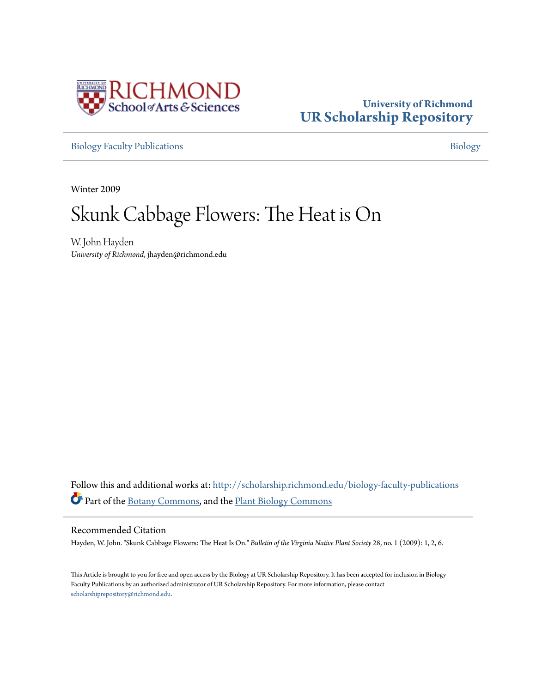

### **University of Richmond [UR Scholarship Repository](http://scholarship.richmond.edu?utm_source=scholarship.richmond.edu%2Fbiology-faculty-publications%2F160&utm_medium=PDF&utm_campaign=PDFCoverPages)**

[Biology Faculty Publications](http://scholarship.richmond.edu/biology-faculty-publications?utm_source=scholarship.richmond.edu%2Fbiology-faculty-publications%2F160&utm_medium=PDF&utm_campaign=PDFCoverPages) **[Biology](http://scholarship.richmond.edu/biology?utm_source=scholarship.richmond.edu%2Fbiology-faculty-publications%2F160&utm_medium=PDF&utm_campaign=PDFCoverPages)** 

Winter 2009

## Skunk Cabbage Flowers: The Heat is On

W. John Hayden *University of Richmond*, jhayden@richmond.edu

Follow this and additional works at: [http://scholarship.richmond.edu/biology-faculty-publications](http://scholarship.richmond.edu/biology-faculty-publications?utm_source=scholarship.richmond.edu%2Fbiology-faculty-publications%2F160&utm_medium=PDF&utm_campaign=PDFCoverPages) Part of the [Botany Commons,](http://network.bepress.com/hgg/discipline/104?utm_source=scholarship.richmond.edu%2Fbiology-faculty-publications%2F160&utm_medium=PDF&utm_campaign=PDFCoverPages) and the [Plant Biology Commons](http://network.bepress.com/hgg/discipline/106?utm_source=scholarship.richmond.edu%2Fbiology-faculty-publications%2F160&utm_medium=PDF&utm_campaign=PDFCoverPages)

#### Recommended Citation

Hayden, W. John. "Skunk Cabbage Flowers: The Heat Is On." *Bulletin of the Virginia Native Plant Society* 28, no. 1 (2009): 1, 2, 6.

This Article is brought to you for free and open access by the Biology at UR Scholarship Repository. It has been accepted for inclusion in Biology Faculty Publications by an authorized administrator of UR Scholarship Repository. For more information, please contact [scholarshiprepository@richmond.edu.](mailto:scholarshiprepository@richmond.edu)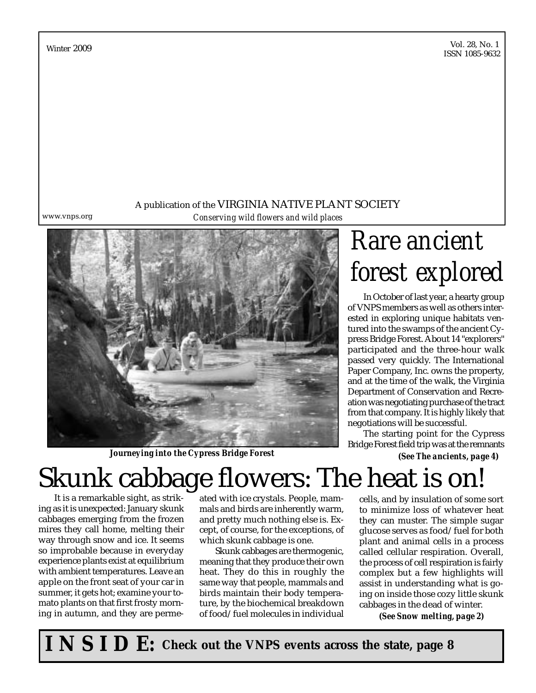Vol. 28, No. 1 Vol. 26, 190. 1<br>ISSN 1085-9632

A publication of the VIRGINIA NATIVE PLANT SOCIETY www.vnps.org *Conserving wild flowers and wild places*

*Journeying into the Cypress Bridge Forest*

# *Rare ancient forest explored*

In October of last year, a hearty group of VNPS members as well as others interested in exploring unique habitats ventured into the swamps of the ancient Cypress Bridge Forest. About 14 "explorers" participated and the three-hour walk passed very quickly. The International Paper Company, Inc. owns the property, and at the time of the walk, the Virginia Department of Conservation and Recreation was negotiating purchase of the tract from that company. It is highly likely that negotiations will be successful.

The starting point for the Cypress Bridge Forest field trip was at the remnants

*(See The ancients, page 4)*

# Skunk cabbage flowers: The heat is on!

It is a remarkable sight, as striking as it is unexpected: January skunk cabbages emerging from the frozen mires they call home, melting their way through snow and ice. It seems so improbable because in everyday experience plants exist at equilibrium with ambient temperatures. Leave an apple on the front seat of your car in summer, it gets hot; examine your tomato plants on that first frosty morning in autumn, and they are permeated with ice crystals. People, mammals and birds are inherently warm, and pretty much nothing else is. Except, of course, for the exceptions, of which skunk cabbage is one.

Skunk cabbages are thermogenic, meaning that they produce their own heat. They do this in roughly the same way that people, mammals and birds maintain their body temperature, by the biochemical breakdown of food/fuel molecules in individual

cells, and by insulation of some sort to minimize loss of whatever heat they can muster. The simple sugar glucose serves as food/fuel for both plant and animal cells in a process called cellular respiration. Overall, the process of cell respiration is fairly complex but a few highlights will assist in understanding what is going on inside those cozy little skunk cabbages in the dead of winter.

*(See Snow melting, page 2)*

**I N S I D E: Check out the VNPS events across the state, page 8**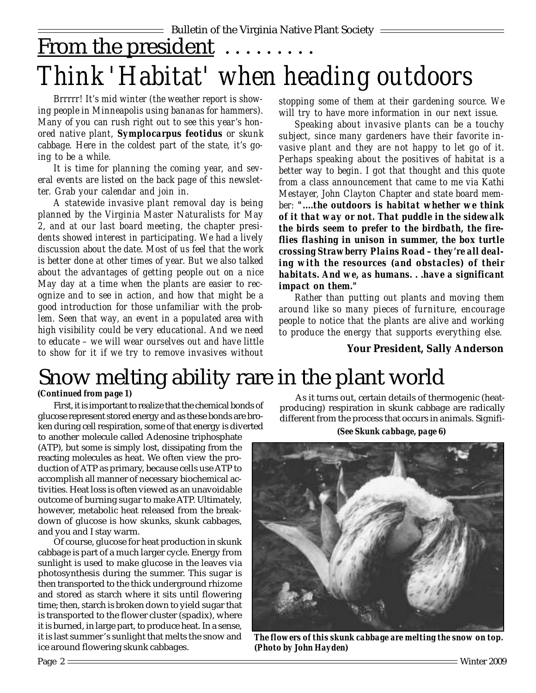## From the president ........ *Think 'Habitat' when heading outdoors*

*Brrrrr! It's mid winter (the weather report is showing people in Minneapolis using bananas for hammers). Many of you can rush right out to see this year's honored native plant, Symplocarpus feotidus or skunk cabbage. Here in the coldest part of the state, it's going to be a while.*

*It is time for planning the coming year, and several events are listed on the back page of this newsletter. Grab your calendar and join in.*

*A statewide invasive plant removal day is being planned by the Virginia Master Naturalists for May 2, and at our last board meeting, the chapter presidents showed interest in participating. We had a lively discussion about the date. Most of us feel that the work is better done at other times of year. But we also talked about the advantages of getting people out on a nice May day at a time when the plants are easier to recognize and to see in action, and how that might be a good introduction for those unfamiliar with the problem. Seen that way, an event in a populated area with high visibility could be very educational. And we need to educate – we will wear ourselves out and have little to show for it if we try to remove invasives without*

*stopping some of them at their gardening source. We will try to have more information in our next issue.*

*Speaking about invasive plants can be a touchy subject, since many gardeners have their favorite invasive plant and they are not happy to let go of it. Perhaps speaking about the positives of habitat is a better way to begin. I got that thought and this quote from a class announcement that came to me via Kathi Mestayer, John Clayton Chapter and state board member: "....the outdoors is habitat whether we think of it that way or not. That puddle in the sidewalk the birds seem to prefer to the birdbath, the fireflies flashing in unison in summer, the box turtle crossing Strawberry Plains Road – they're all dealing with the resources (and obstacles) of their habitats. And we, as humans. . .have a significant impact on them."*

*Rather than putting out plants and moving them around like so many pieces of furniture, encourage people to notice that the plants are alive and working to produce the energy that supports everything else.*

### **Your President, Sally Anderson**

## Snow melting ability rare in the plant world

### *(Continued from page 1)*

First, it is important to realize that the chemical bonds of glucose represent stored energy and as these bonds are broken during cell respiration, some of that energy is diverted

to another molecule called Adenosine triphosphate (ATP), but some is simply lost, dissipating from the reacting molecules as heat. We often view the production of ATP as primary, because cells use ATP to accomplish all manner of necessary biochemical activities. Heat loss is often viewed as an unavoidable outcome of burning sugar to make ATP. Ultimately, however, metabolic heat released from the breakdown of glucose is how skunks, skunk cabbages, and you and I stay warm.

Of course, glucose for heat production in skunk cabbage is part of a much larger cycle. Energy from sunlight is used to make glucose in the leaves via photosynthesis during the summer. This sugar is then transported to the thick underground rhizome and stored as starch where it sits until flowering time; then, starch is broken down to yield sugar that is transported to the flower cluster (spadix), where it is burned, in large part, to produce heat. In a sense, it is last summer's sunlight that melts the snow and ice around flowering skunk cabbages.

As it turns out, certain details of thermogenic (heatproducing) respiration in skunk cabbage are radically different from the process that occurs in animals. Signifi-

*(See Skunk cabbage, page 6)*



*The flowers of this skunk cabbage are melting the snow on top. (Photo by John Hayden)*